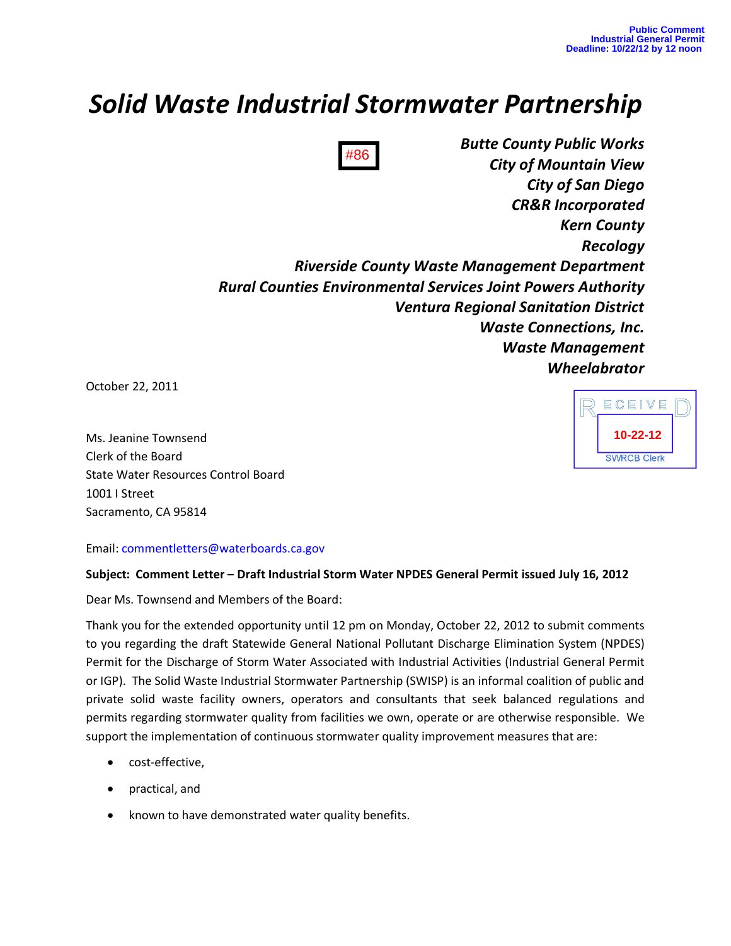# *Solid Waste Industrial Stormwater Partnership*

*Butte County Public Works City of Mountain View City of San Diego CR&R Incorporated Kern County Recology Riverside County Waste Management Department Rural Counties Environmental Services Joint Powers Authority Ventura Regional Sanitation District Waste Connections, Inc. Waste Management Wheelabrator* #86

October 22, 2011

Ms. Jeanine Townsend Clerk of the Board State Water Resources Control Board 1001 I Street Sacramento, CA 95814

Email: commentletters@waterboards.ca.gov

### **Subject: Comment Letter – Draft Industrial Storm Water NPDES General Permit issued July 16, 2012**

Dear Ms. Townsend and Members of the Board:

Thank you for the extended opportunity until 12 pm on Monday, October 22, 2012 to submit comments to you regarding the draft Statewide General National Pollutant Discharge Elimination System (NPDES) Permit for the Discharge of Storm Water Associated with Industrial Activities (Industrial General Permit or IGP). The Solid Waste Industrial Stormwater Partnership (SWISP) is an informal coalition of public and private solid waste facility owners, operators and consultants that seek balanced regulations and permits regarding stormwater quality from facilities we own, operate or are otherwise responsible. We support the implementation of continuous stormwater quality improvement measures that are:

- cost-effective,
- practical, and
- known to have demonstrated water quality benefits.

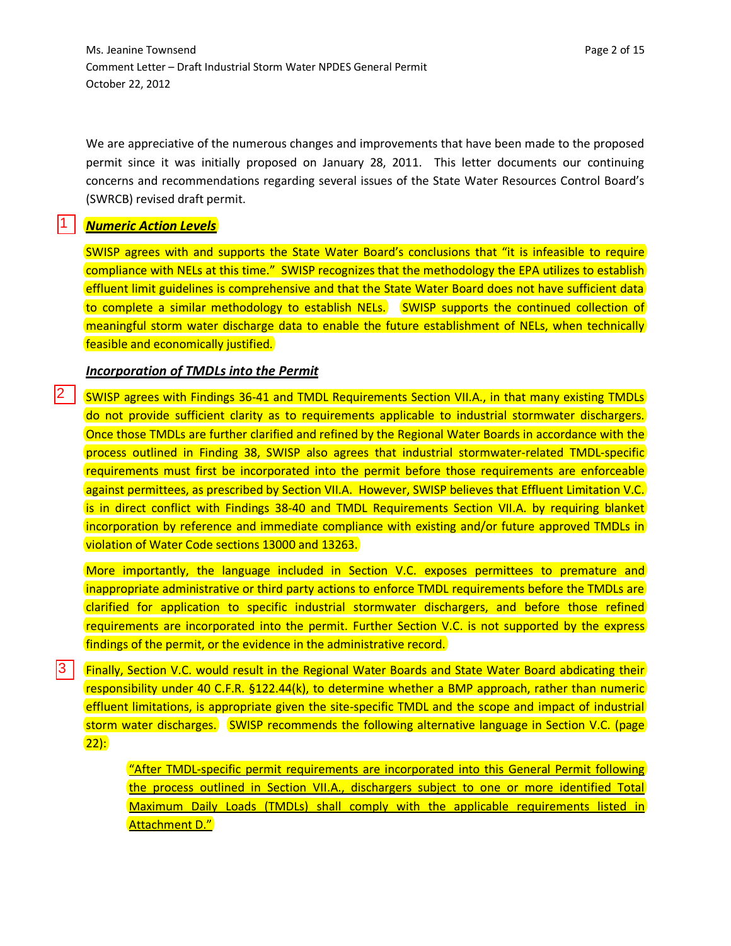Ms. Jeanine Townsend **Page 2 of 15** and 2 of 15 and 2 of 15 and 2 of 15 and 2 of 15 and 2 of 15 and 2 of 15 and 2 of 15 and 2 of 15 and 2 of 15 and 2 of 15 and 2 of 15 and 2 of 15 and 2 of 15 and 2 of 15 and 2 of 15 and 2 Comment Letter – Draft Industrial Storm Water NPDES General Permit October 22, 2012

We are appreciative of the numerous changes and improvements that have been made to the proposed permit since it was initially proposed on January 28, 2011. This letter documents our continuing concerns and recommendations regarding several issues of the State Water Resources Control Board's (SWRCB) revised draft permit.

## *Numeric Action Levels*

1

12 I

SWISP agrees with and supports the State Water Board's conclusions that "it is infeasible to require compliance with NELs at this time." SWISP recognizes that the methodology the EPA utilizes to establish effluent limit guidelines is comprehensive and that the State Water Board does not have sufficient data to complete a similar methodology to establish NELs. SWISP supports the continued collection of meaningful storm water discharge data to enable the future establishment of NELs, when technically feasible and economically justified.

### *Incorporation of TMDLs into the Permit*

SWISP agrees with Findings 36-41 and TMDL Requirements Section VII.A., in that many existing TMDLs do not provide sufficient clarity as to requirements applicable to industrial stormwater dischargers. Once those TMDLs are further clarified and refined by the Regional Water Boards in accordance with the process outlined in Finding 38, SWISP also agrees that industrial stormwater-related TMDL-specific requirements must first be incorporated into the permit before those requirements are enforceable against permittees, as prescribed by Section VII.A. However, SWISP believes that Effluent Limitation V.C. is in direct conflict with Findings 38-40 and TMDL Requirements Section VII.A. by requiring blanket incorporation by reference and immediate compliance with existing and/or future approved TMDLs in violation of Water Code sections 13000 and 13263.

More importantly, the language included in Section V.C. exposes permittees to premature and inappropriate administrative or third party actions to enforce TMDL requirements before the TMDLs are clarified for application to specific industrial stormwater dischargers, and before those refined requirements are incorporated into the permit. Further Section V.C. is not supported by the express findings of the permit, or the evidence in the administrative record.

Finally, Section V.C. would result in the Regional Water Boards and State Water Board abdicating their responsibility under 40 C.F.R. §122.44(k), to determine whether a BMP approach, rather than numeric effluent limitations, is appropriate given the site-specific TMDL and the scope and impact of industrial storm water discharges. SWISP recommends the following alternative language in Section V.C. (page)  $22$ : 3

> "After TMDL-specific permit requirements are incorporated into this General Permit following the process outlined in Section VII.A., dischargers subject to one or more identified Total Maximum Daily Loads (TMDLs) shall comply with the applicable requirements listed in Attachment D."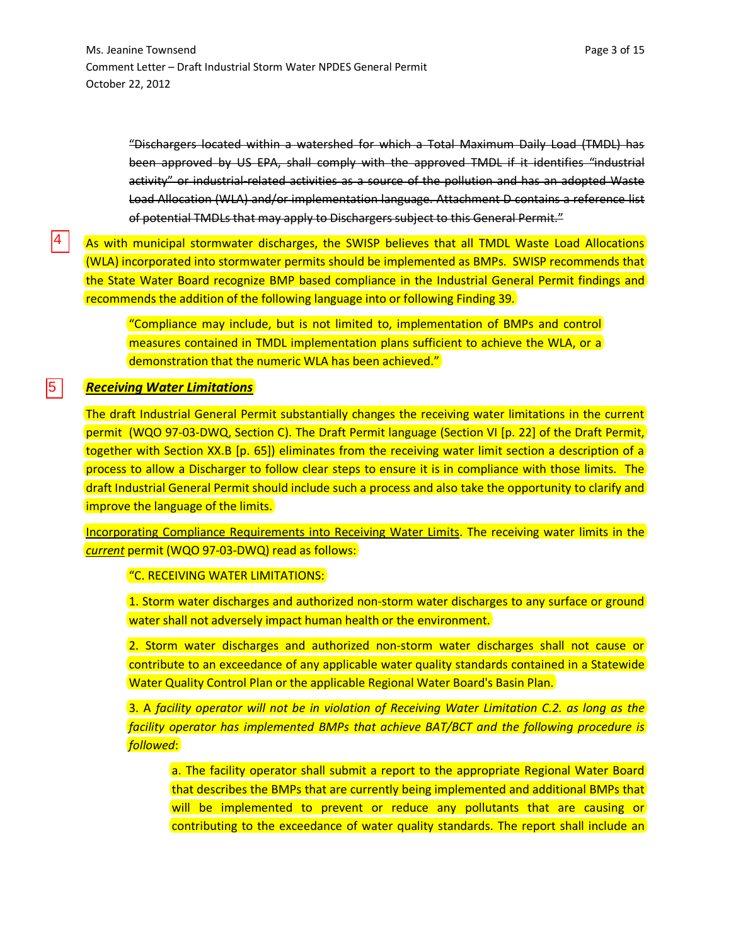"Dischargers located within a watershed for which a Total Maximum Daily Load (TMDL) has been approved by US EPA, shall comply with the approved TMDL if it identifies "industrial activity" or industrial-related activities as a source of the pollution and has an adopted Waste Load Allocation (WLA) and/or implementation language. Attachment D contains a reference list of potential TMDLs that may apply to Dischargers subject to this General Permit."

As with municipal stormwater discharges, the SWISP believes that all TMDL Waste Load Allocations (WLA) incorporated into stormwater permits should be implemented as BMPs. SWISP recommends that the State Water Board recognize BMP based compliance in the Industrial General Permit findings and recommends the addition of the following language into or following Finding 39.

"Compliance may include, but is not limited to, implementation of BMPs and control measures contained in TMDL implementation plans sufficient to achieve the WLA, or a demonstration that the numeric WLA has been achieved."

### *Receiving Water Limitations*

4

5

The draft Industrial General Permit substantially changes the receiving water limitations in the current permit (WQO 97-03-DWQ, Section C). The Draft Permit language (Section VI [p. 22] of the Draft Permit, together with Section XX.B [p. 65]) eliminates from the receiving water limit section a description of a process to allow a Discharger to follow clear steps to ensure it is in compliance with those limits. The draft Industrial General Permit should include such a process and also take the opportunity to clarify and improve the language of the limits.

Incorporating Compliance Requirements into Receiving Water Limits. The receiving water limits in the *current* permit (WQO 97-03-DWQ) read as follows:

### "C. RECEIVING WATER LIMITATIONS:

1. Storm water discharges and authorized non-storm water discharges to any surface or ground water shall not adversely impact human health or the environment.

2. Storm water discharges and authorized non-storm water discharges shall not cause or contribute to an exceedance of any applicable water quality standards contained in a Statewide Water Quality Control Plan or the applicable Regional Water Board's Basin Plan.

3. A *facility operator will not be in violation of Receiving Water Limitation C.2. as long as the facility operator has implemented BMPs that achieve BAT/BCT and the following procedure is followed*:

a. The facility operator shall submit a report to the appropriate Regional Water Board that describes the BMPs that are currently being implemented and additional BMPs that will be implemented to prevent or reduce any pollutants that are causing or contributing to the exceedance of water quality standards. The report shall include an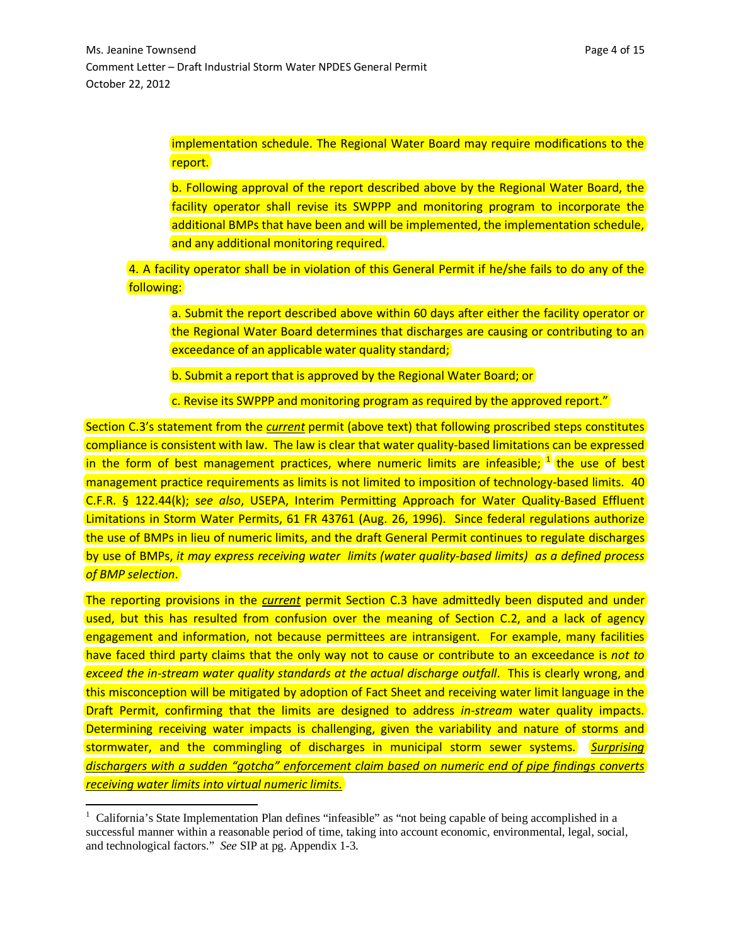implementation schedule. The Regional Water Board may require modifications to the report.

b. Following approval of the report described above by the Regional Water Board, the facility operator shall revise its SWPPP and monitoring program to incorporate the additional BMPs that have been and will be implemented, the implementation schedule, and any additional monitoring required.

4. A facility operator shall be in violation of this General Permit if he/she fails to do any of the following:

a. Submit the report described above within 60 days after either the facility operator or the Regional Water Board determines that discharges are causing or contributing to an exceedance of an applicable water quality standard;

b. Submit a report that is approved by the Regional Water Board; or

c. Revise its SWPPP and monitoring program as required by the approved report."

Section C.3's statement from the *current* permit (above text) that following proscribed steps constitutes compliance is consistent with law. The law is clear that water quality-based limitations can be expressed in the form of best management practices, where numeric limits are infeasible;  $^{1}$  $^{1}$  $^{1}$  the use of best management practice requirements as limits is not limited to imposition of technology-based limits. 40 C.F.R. § 122.44(k); s*ee also*, USEPA, Interim Permitting Approach for Water Quality-Based Effluent Limitations in Storm Water Permits, 61 FR 43761 (Aug. 26, 1996). Since federal regulations authorize the use of BMPs in lieu of numeric limits, and the draft General Permit continues to regulate discharges by use of BMPs, *it may express receiving water limits (water quality-based limits) as a defined process of BMP selection*.

The reporting provisions in the *current* permit Section C.3 have admittedly been disputed and under used, but this has resulted from confusion over the meaning of Section C.2, and a lack of agency engagement and information, not because permittees are intransigent. For example, many facilities have faced third party claims that the only way not to cause or contribute to an exceedance is *not to exceed the in-stream water quality standards at the actual discharge outfall.* This is clearly wrong, and this misconception will be mitigated by adoption of Fact Sheet and receiving water limit language in the Draft Permit, confirming that the limits are designed to address *in-stream* water quality impacts. Determining receiving water impacts is challenging, given the variability and nature of storms and stormwater, and the commingling of discharges in municipal storm sewer systems. *Surprising dischargers with a sudden "gotcha" enforcement claim based on numeric end of pipe findings converts receiving water limits into virtual numeric limits.*

 $\overline{\phantom{0}}$ 

<span id="page-3-0"></span><sup>&</sup>lt;sup>1</sup> California's State Implementation Plan defines "infeasible" as "not being capable of being accomplished in a successful manner within a reasonable period of time, taking into account economic, environmental, legal, social, and technological factors." *See* SIP at pg. Appendix 1-3.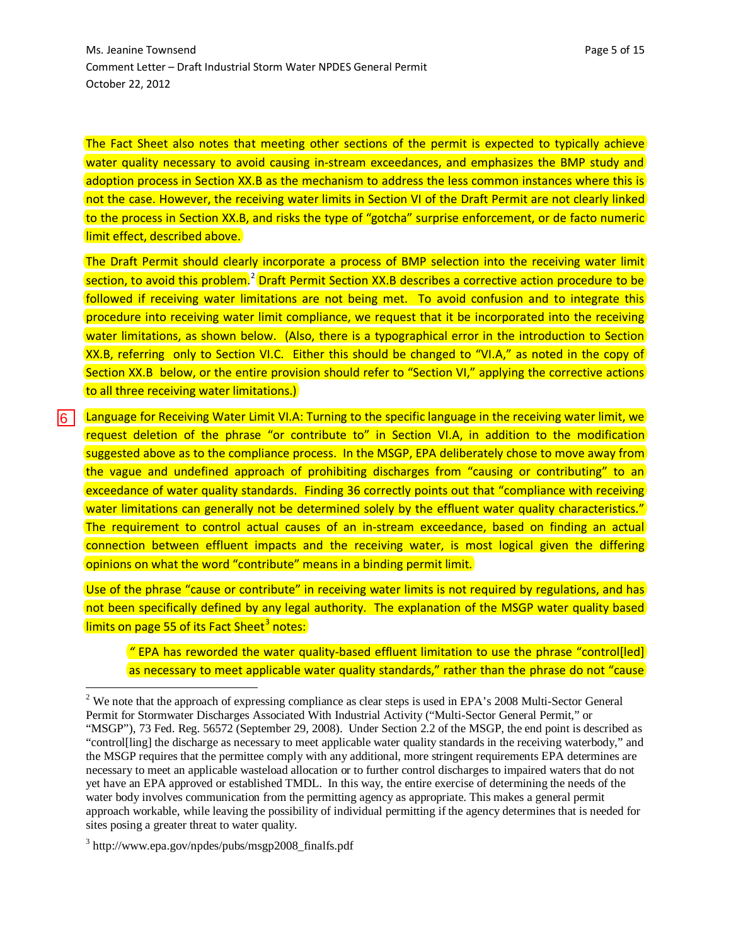The Fact Sheet also notes that meeting other sections of the permit is expected to typically achieve water quality necessary to avoid causing in-stream exceedances, and emphasizes the BMP study and adoption process in Section XX.B as the mechanism to address the less common instances where this is not the case. However, the receiving water limits in Section VI of the Draft Permit are not clearly linked to the process in Section XX.B, and risks the type of "gotcha" surprise enforcement, or de facto numeric limit effect, described above.

The Draft Permit should clearly incorporate a process of BMP selection into the receiving water limit section, to avoid this problem.<sup>[2](#page-4-0)</sup> Draft Permit Section XX.B describes a corrective action procedure to be followed if receiving water limitations are not being met. To avoid confusion and to integrate this procedure into receiving water limit compliance, we request that it be incorporated into the receiving water limitations, as shown below. (Also, there is a typographical error in the introduction to Section XX.B, referring only to Section VI.C. Either this should be changed to "VI.A," as noted in the copy of Section XX.B below, or the entire provision should refer to "Section VI," applying the corrective actions to all three receiving water limitations.)

Language for Receiving Water Limit VI.A: Turning to the specific language in the receiving water limit, we request deletion of the phrase "or contribute to" in Section VI.A, in addition to the modification suggested above as to the compliance process. In the MSGP, EPA deliberately chose to move away from the vague and undefined approach of prohibiting discharges from "causing or contributing" to an exceedance of water quality standards. Finding 36 correctly points out that "compliance with receiving water limitations can generally not be determined solely by the effluent water quality characteristics." The requirement to control actual causes of an in-stream exceedance, based on finding an actual connection between effluent impacts and the receiving water, is most logical given the differing opinions on what the word "contribute" means in a binding permit limit. ا ۱

Use of the phrase "cause or contribute" in receiving water limits is not required by regulations, and has not been specifically defined by any legal authority. The explanation of the MSGP water quality based limits on page 55 of its Fact Sheet<sup>[3](#page-4-1)</sup> notes:

*"* EPA has reworded the water quality-based effluent limitation to use the phrase "control[led] as necessary to meet applicable water quality standards," rather than the phrase do not "cause

ı

<span id="page-4-0"></span><sup>&</sup>lt;sup>2</sup> We note that the approach of expressing compliance as clear steps is used in EPA's 2008 Multi-Sector General Permit for Stormwater Discharges Associated With Industrial Activity ("Multi-Sector General Permit," or "MSGP"), 73 Fed. Reg. 56572 (September 29, 2008). Under Section 2.2 of the MSGP, the end point is described as "control[ling] the discharge as necessary to meet applicable water quality standards in the receiving waterbody," and the MSGP requires that the permittee comply with any additional, more stringent requirements EPA determines are necessary to meet an applicable wasteload allocation or to further control discharges to impaired waters that do not yet have an EPA approved or established TMDL. In this way, the entire exercise of determining the needs of the water body involves communication from the permitting agency as appropriate. This makes a general permit approach workable, while leaving the possibility of individual permitting if the agency determines that is needed for sites posing a greater threat to water quality.

<span id="page-4-1"></span> $3$  http://www.epa.gov/npdes/pubs/msgp2008 finalfs.pdf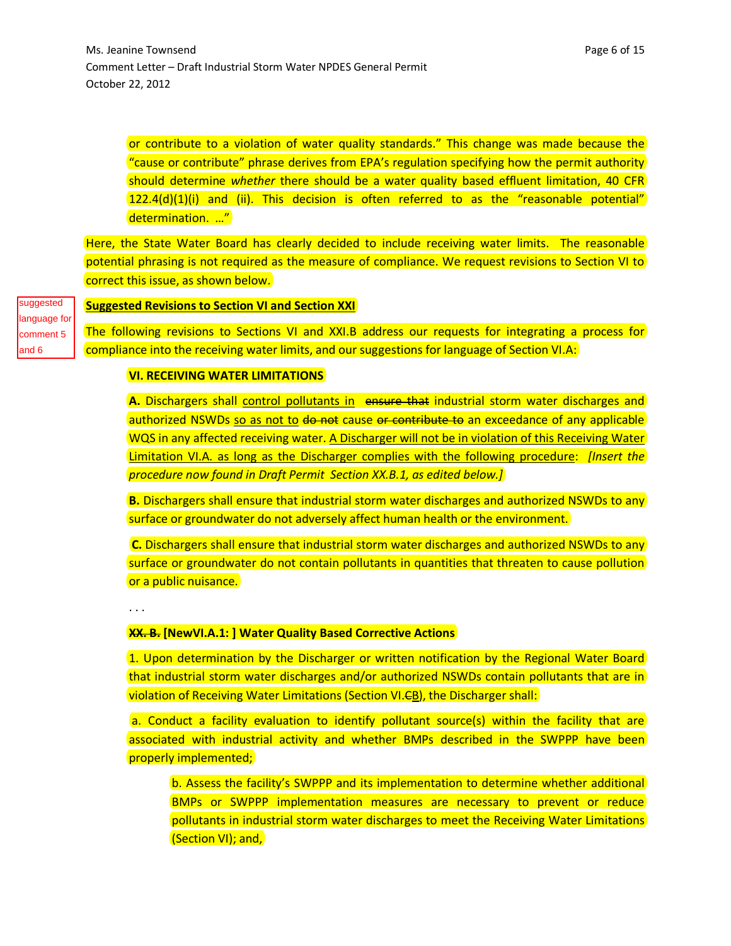or contribute to a violation of water quality standards." This change was made because the "cause or contribute" phrase derives from EPA's regulation specifying how the permit authority should determine *whether* there should be a water quality based effluent limitation, 40 CFR  $122.4(d)(1)(i)$  and (ii). This decision is often referred to as the "reasonable potential" determination. …"

Here, the State Water Board has clearly decided to include receiving water limits. The reasonable potential phrasing is not required as the measure of compliance. We request revisions to Section VI to correct this issue, as shown below.

suggested language for comment 5

and 6

### **Suggested Revisions to Section VI and Section XXI**

The following revisions to Sections VI and XXI.B address our requests for integrating a process for compliance into the receiving water limits, and our suggestions for language of Section VI.A:

### **VI. RECEIVING WATER LIMITATIONS**

**A.** Dischargers shall control pollutants in ensure that industrial storm water discharges and authorized NSWDs so as not to do not cause or contribute to an exceedance of any applicable WQS in any affected receiving water. A Discharger will not be in violation of this Receiving Water Limitation VI.A. as long as the Discharger complies with the following procedure: *[Insert the procedure now found in Draft Permit Section XX.B.1, as edited below.]*

**B.** Dischargers shall ensure that industrial storm water discharges and authorized NSWDs to any surface or groundwater do not adversely affect human health or the environment.

**C.** Dischargers shall ensure that industrial storm water discharges and authorized NSWDs to any surface or groundwater do not contain pollutants in quantities that threaten to cause pollution or a public nuisance.

. . .

### **XX. B. [NewVI.A.1: ] Water Quality Based Corrective Actions**

1. Upon determination by the Discharger or written notification by the Regional Water Board that industrial storm water discharges and/or authorized NSWDs contain pollutants that are in violation of Receiving Water Limitations (Section VI.<del>C</del>B), the Discharger shall:

a. Conduct a facility evaluation to identify pollutant source(s) within the facility that are associated with industrial activity and whether BMPs described in the SWPPP have been properly implemented;

b. Assess the facility's SWPPP and its implementation to determine whether additional BMPs or SWPPP implementation measures are necessary to prevent or reduce pollutants in industrial storm water discharges to meet the Receiving Water Limitations (Section VI); and,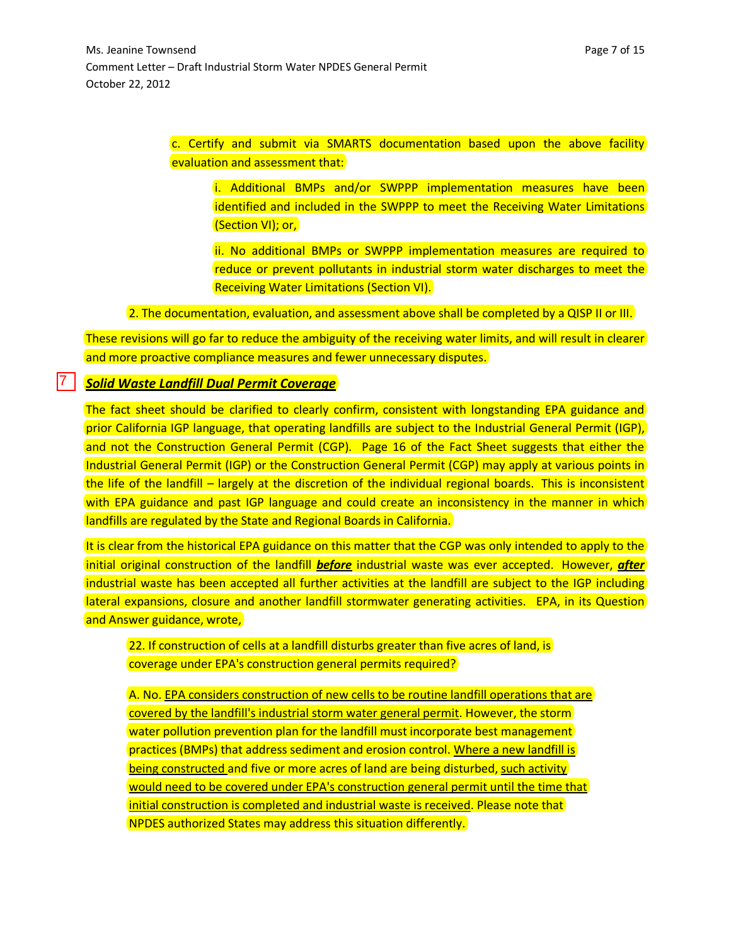c. Certify and submit via SMARTS documentation based upon the above facility evaluation and assessment that:

i. Additional BMPs and/or SWPPP implementation measures have been identified and included in the SWPPP to meet the Receiving Water Limitations (Section VI); or,

ii. No additional BMPs or SWPPP implementation measures are required to reduce or prevent pollutants in industrial storm water discharges to meet the Receiving Water Limitations (Section VI).

2. The documentation, evaluation, and assessment above shall be completed by a QISP II or III.

These revisions will go far to reduce the ambiguity of the receiving water limits, and will result in clearer and more proactive compliance measures and fewer unnecessary disputes.

### *Solid Waste Landfill Dual Permit Coverage*

7

The fact sheet should be clarified to clearly confirm, consistent with longstanding EPA guidance and prior California IGP language, that operating landfills are subject to the Industrial General Permit (IGP), and not the Construction General Permit (CGP). Page 16 of the Fact Sheet suggests that either the Industrial General Permit (IGP) or the Construction General Permit (CGP) may apply at various points in the life of the landfill – largely at the discretion of the individual regional boards. This is inconsistent with EPA guidance and past IGP language and could create an inconsistency in the manner in which landfills are regulated by the State and Regional Boards in California.

It is clear from the historical EPA guidance on this matter that the CGP was only intended to apply to the initial original construction of the landfill *before* industrial waste was ever accepted. However, *after* industrial waste has been accepted all further activities at the landfill are subject to the IGP including lateral expansions, closure and another landfill stormwater generating activities. EPA, in its Question and Answer guidance, wrote,

22. If construction of cells at a landfill disturbs greater than five acres of land, is coverage under EPA's construction general permits required?

A. No. EPA considers construction of new cells to be routine landfill operations that are covered by the landfill's industrial storm water general permit. However, the storm water pollution prevention plan for the landfill must incorporate best management practices (BMPs) that address sediment and erosion control. Where a new landfill is being constructed and five or more acres of land are being disturbed, such activity would need to be covered under EPA's construction general permit until the time that initial construction is completed and industrial waste is received. Please note that NPDES authorized States may address this situation differently.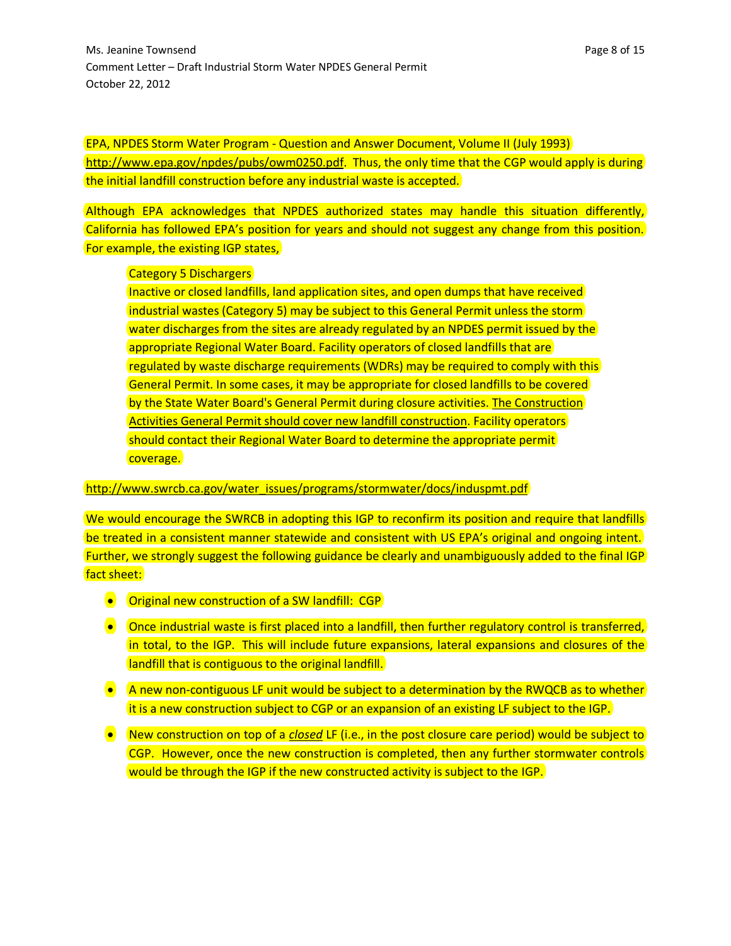EPA, NPDES Storm Water Program - Question and Answer Document, Volume II (July 1993) [http://www.epa.gov/npdes/pubs/owm0250.pdf.](http://www.epa.gov/npdes/pubs/owm0250.pdf) Thus, the only time that the CGP would apply is during the initial landfill construction before any industrial waste is accepted.

Although EPA acknowledges that NPDES authorized states may handle this situation differently, California has followed EPA's position for years and should not suggest any change from this position. For example, the existing IGP states,

### Category 5 Dischargers

Inactive or closed landfills, land application sites, and open dumps that have received industrial wastes (Category 5) may be subject to this General Permit unless the storm water discharges from the sites are already regulated by an NPDES permit issued by the appropriate Regional Water Board. Facility operators of closed landfills that are regulated by waste discharge requirements (WDRs) may be required to comply with this General Permit. In some cases, it may be appropriate for closed landfills to be covered by the State Water Board's General Permit during closure activities. The Construction Activities General Permit should cover new landfill construction. Facility operators should contact their Regional Water Board to determine the appropriate permit coverage.

### [http://www.swrcb.ca.gov/water\\_issues/programs/stormwater/docs/induspmt.pdf](http://www.swrcb.ca.gov/water_issues/programs/stormwater/docs/induspmt.pdf)

We would encourage the SWRCB in adopting this IGP to reconfirm its position and require that landfills be treated in a consistent manner statewide and consistent with US EPA's original and ongoing intent. Further, we strongly suggest the following guidance be clearly and unambiguously added to the final IGP fact sheet:

- **•** Original new construction of a SW landfill: CGP
- Once industrial waste is first placed into a landfill, then further regulatory control is transferred, in total, to the IGP. This will include future expansions, lateral expansions and closures of the landfill that is contiguous to the original landfill.
- $\bullet$  A new non-contiguous LF unit would be subject to a determination by the RWQCB as to whether it is a new construction subject to CGP or an expansion of an existing LF subject to the IGP.
- New construction on top of a *closed* LF (i.e., in the post closure care period) would be subject to CGP. However, once the new construction is completed, then any further stormwater controls would be through the IGP if the new constructed activity is subject to the IGP.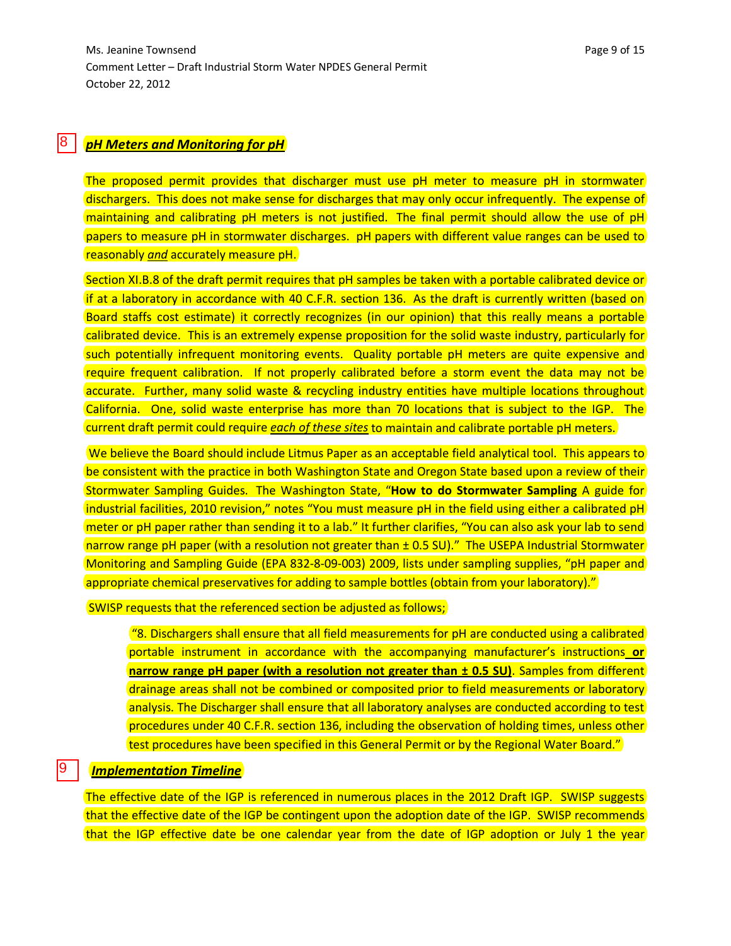#### *pH Meters and Monitoring for pH* 8

The proposed permit provides that discharger must use pH meter to measure pH in stormwater dischargers. This does not make sense for discharges that may only occur infrequently. The expense of maintaining and calibrating pH meters is not justified. The final permit should allow the use of pH papers to measure pH in stormwater discharges. pH papers with different value ranges can be used to reasonably *and* accurately measure pH.

Section XI.B.8 of the draft permit requires that pH samples be taken with a portable calibrated device or if at a laboratory in accordance with 40 C.F.R. section 136. As the draft is currently written (based on Board staffs cost estimate) it correctly recognizes (in our opinion) that this really means a portable calibrated device. This is an extremely expense proposition for the solid waste industry, particularly for such potentially infrequent monitoring events. Quality portable pH meters are quite expensive and require frequent calibration. If not properly calibrated before a storm event the data may not be accurate. Further, many solid waste & recycling industry entities have multiple locations throughout California. One, solid waste enterprise has more than 70 locations that is subject to the IGP. The current draft permit could require *each of these sites* to maintain and calibrate portable pH meters.

We believe the Board should include Litmus Paper as an acceptable field analytical tool. This appears to be consistent with the practice in both Washington State and Oregon State based upon a review of their Stormwater Sampling Guides. The Washington State, "**How to do Stormwater Sampling** A guide for industrial facilities, 2010 revision," notes "You must measure pH in the field using either a calibrated pH meter or pH paper rather than sending it to a lab." It further clarifies, "You can also ask your lab to send narrow range pH paper (with a resolution not greater than  $\pm$  0.5 SU)." The USEPA Industrial Stormwater Monitoring and Sampling Guide (EPA 832-8-09-003) 2009, lists under sampling supplies, "pH paper and appropriate chemical preservatives for adding to sample bottles (obtain from your laboratory)."

SWISP requests that the referenced section be adjusted as follows;

"8. Dischargers shall ensure that all field measurements for pH are conducted using a calibrated portable instrument in accordance with the accompanying manufacturer's instructions **or narrow range pH paper (with a resolution not greater than**  $\pm$  **0.5 SU)**. Samples from different drainage areas shall not be combined or composited prior to field measurements or laboratory analysis. The Discharger shall ensure that all laboratory analyses are conducted according to test procedures under 40 C.F.R. section 136, including the observation of holding times, unless other test procedures have been specified in this General Permit or by the Regional Water Board."

### *Implementation Timeline*

9

The effective date of the IGP is referenced in numerous places in the 2012 Draft IGP. SWISP suggests that the effective date of the IGP be contingent upon the adoption date of the IGP. SWISP recommends that the IGP effective date be one calendar year from the date of IGP adoption or July 1 the year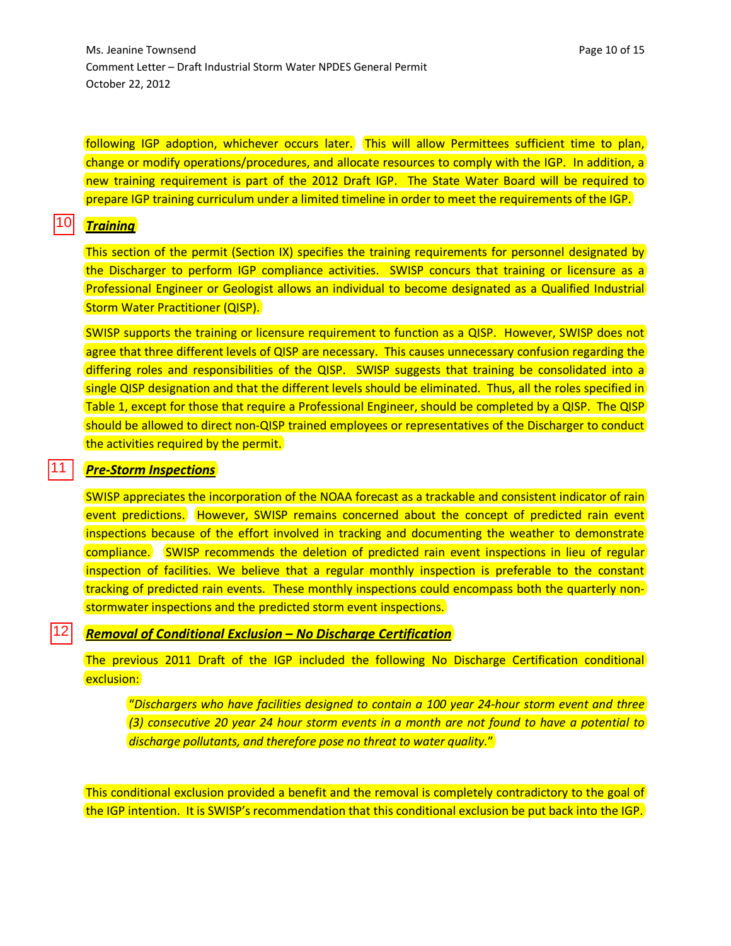Ms. Jeanine Townsend **Page 10** of 15 Comment Letter – Draft Industrial Storm Water NPDES General Permit October 22, 2012

following IGP adoption, whichever occurs later. This will allow Permittees sufficient time to plan, change or modify operations/procedures, and allocate resources to comply with the IGP. In addition, a new training requirement is part of the 2012 Draft IGP. The State Water Board will be required to prepare IGP training curriculum under a limited timeline in order to meet the requirements of the IGP.

#### *Training* 10

 $\frac{11}{12}$ 

12

|11

This section of the permit (Section IX) specifies the training requirements for personnel designated by the Discharger to perform IGP compliance activities. SWISP concurs that training or licensure as a Professional Engineer or Geologist allows an individual to become designated as a Qualified Industrial Storm Water Practitioner (QISP).

SWISP supports the training or licensure requirement to function as a QISP. However, SWISP does not agree that three different levels of QISP are necessary. This causes unnecessary confusion regarding the differing roles and responsibilities of the QISP. SWISP suggests that training be consolidated into a single QISP designation and that the different levels should be eliminated. Thus, all the roles specified in Table 1, except for those that require a Professional Engineer, should be completed by a QISP. The QISP should be allowed to direct non-QISP trained employees or representatives of the Discharger to conduct the activities required by the permit.

### *Pre-Storm Inspections*

SWISP appreciates the incorporation of the NOAA forecast as a trackable and consistent indicator of rain event predictions. However, SWISP remains concerned about the concept of predicted rain event inspections because of the effort involved in tracking and documenting the weather to demonstrate compliance. SWISP recommends the deletion of predicted rain event inspections in lieu of regular inspection of facilities. We believe that a regular monthly inspection is preferable to the constant tracking of predicted rain events. These monthly inspections could encompass both the quarterly nonstormwater inspections and the predicted storm event inspections.

### *Removal of Conditional Exclusion – No Discharge Certification*

The previous 2011 Draft of the IGP included the following No Discharge Certification conditional exclusion:

"*Dischargers who have facilities designed to contain a 100 year 24-hour storm event and three (3) consecutive 20 year 24 hour storm events in a month are not found to have a potential to discharge pollutants, and therefore pose no threat to water quality.*"

This conditional exclusion provided a benefit and the removal is completely contradictory to the goal of the IGP intention. It is SWISP's recommendation that this conditional exclusion be put back into the IGP.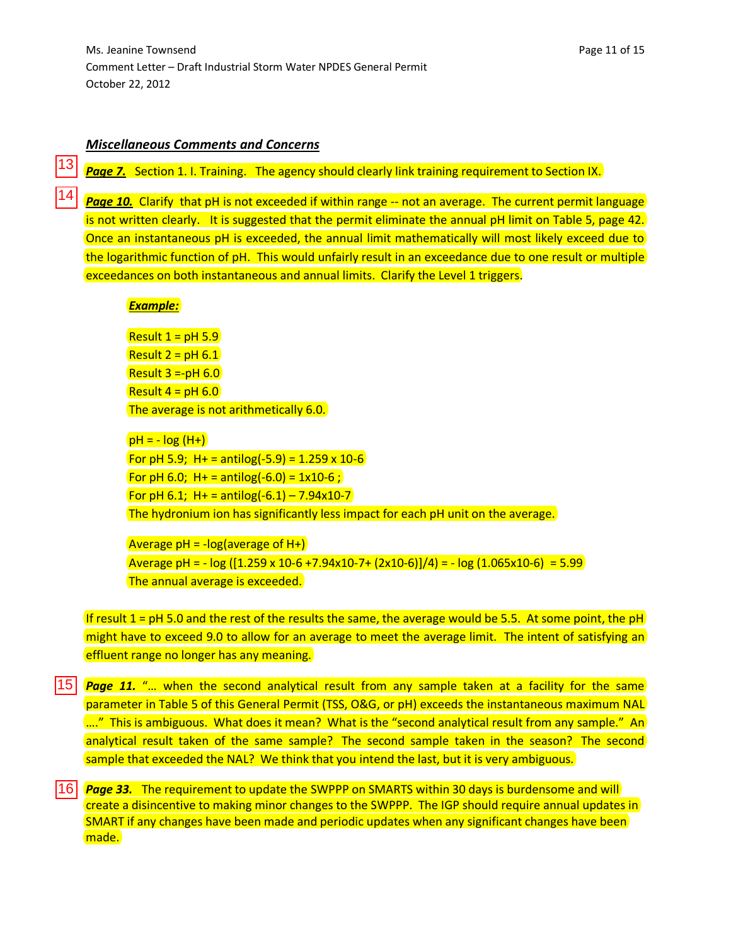### *Miscellaneous Comments and Concerns*

**Page 7.** Section 1. I. Training. The agency should clearly link training requirement to Section IX.

**Page 10.** Clarify that pH is not exceeded if within range -- not an average. The current permit language is not written clearly. It is suggested that the permit eliminate the annual pH limit on Table 5, page 42. Once an instantaneous pH is exceeded, the annual limit mathematically will most likely exceed due to the logarithmic function of pH. This would unfairly result in an exceedance due to one result or multiple exceedances on both instantaneous and annual limits. Clarify the Level 1 triggers.

### *Example:*

13

Result  $1 = pH 5.9$ Result  $2 = pH 6.1$ Result  $3 = -pH 6.0$ Result  $4 = pH 6.0$ The average is not arithmetically 6.0.

```
pH = -log(H+)For pH 5.9; H + = antilog(-5.9) = 1.259 x 10-6
For pH 6.0; H + = antilog(-6.0) = 1x10-6;
For pH 6.1; H + = antilog(-6.1) – 7.94x10-7
The hydronium ion has significantly less impact for each pH unit on the average.
```

```
Average pH = -log(average of H+))Average pH = - log ([1.259 x 10-6 +7.94x10-7+ (2x10-6)]/4) = - log (1.065x10-6) = 5.99
The annual average is exceeded.
```
If result 1 =  $pH$  5.0 and the rest of the results the same, the average would be 5.5. At some point, the  $pH$ might have to exceed 9.0 to allow for an average to meet the average limit. The intent of satisfying an effluent range no longer has any meaning.

*Page 11.* "… when the second analytical result from any sample taken at a facility for the same parameter in Table 5 of this General Permit (TSS, O&G, or pH) exceeds the instantaneous maximum NAL ...." This is ambiguous. What does it mean? What is the "second analytical result from any sample." An analytical result taken of the same sample? The second sample taken in the season? The second sample that exceeded the NAL? We think that you intend the last, but it is very ambiguous. 13<br>14<br>15<br>16

*Page 33.* The requirement to update the SWPPP on SMARTS within 30 days is burdensome and will create a disincentive to making minor changes to the SWPPP. The IGP should require annual updates in SMART if any changes have been made and periodic updates when any significant changes have been made.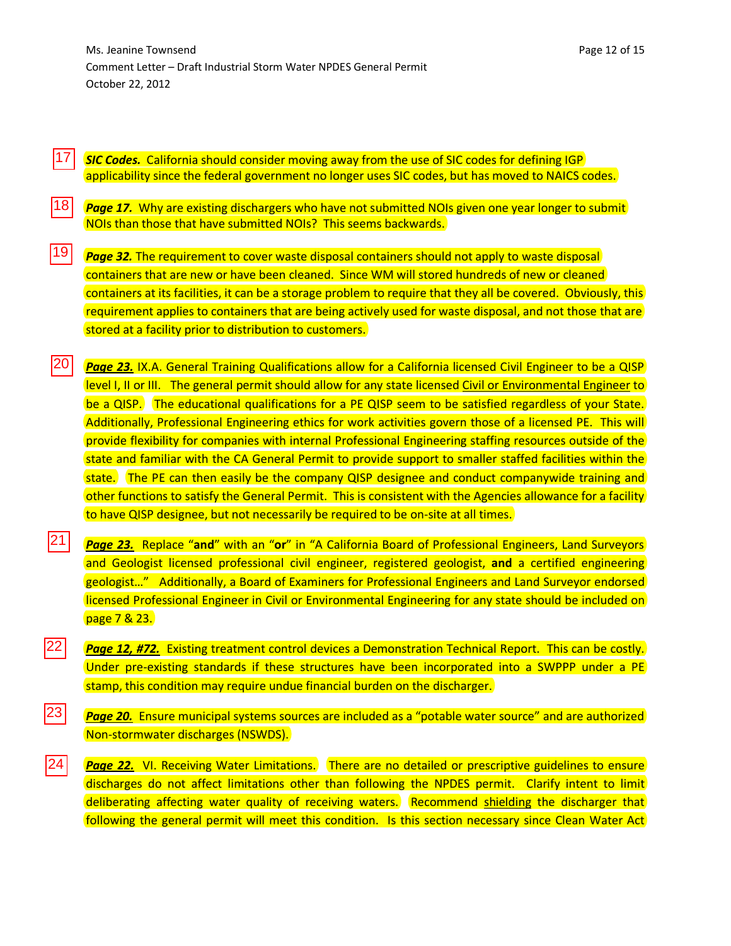17 *SIC Codes.* California should consider moving away from the use of SIC codes for defining IGP applicability since the federal government no longer uses SIC codes, but has moved to NAICS codes.

|18| *Page 17.* Why are existing dischargers who have not submitted NOIs given one year longer to submit NOIs than those that have submitted NOIs? This seems backwards.

 $\begin{array}{r} 17 \\ \hline 18 \\ \hline 19 \\ \hline \end{array}$ |19| *Page 32.* The requirement to cover waste disposal containers should not apply to waste disposal containers that are new or have been cleaned. Since WM will stored hundreds of new or cleaned containers at its facilities, it can be a storage problem to require that they all be covered. Obviously, this requirement applies to containers that are being actively used for waste disposal, and not those that are stored at a facility prior to distribution to customers.

|20| **Page 23.** IX.A. General Training Qualifications allow for a California licensed Civil Engineer to be a QISP level I, II or III. The general permit should allow for any state licensed Civil or Environmental Engineer to be a QISP. The educational qualifications for a PE QISP seem to be satisfied regardless of your State. Additionally, Professional Engineering ethics for work activities govern those of a licensed PE. This will provide flexibility for companies with internal Professional Engineering staffing resources outside of the state and familiar with the CA General Permit to provide support to smaller staffed facilities within the state. The PE can then easily be the company QISP designee and conduct companywide training and other functions to satisfy the General Permit. This is consistent with the Agencies allowance for a facility to have QISP designee, but not necessarily be required to be on-site at all times.

*Page 23.* Replace "**and**" with an "**or**" in "A California Board of Professional Engineers, Land Surveyors and Geologist licensed professional civil engineer, registered geologist, **and** a certified engineering geologist…" Additionally, a Board of Examiners for Professional Engineers and Land Surveyor endorsed licensed Professional Engineer in Civil or Environmental Engineering for any state should be included on page 7 & 23. 21

|22|  $\begin{array}{r} \n \overline{22} \\
 \hline\n 23 \\
 \hline\n 24\n \end{array}$ *Page 12, #72.* Existing treatment control devices a Demonstration Technical Report. This can be costly. Under pre-existing standards if these structures have been incorporated into a SWPPP under a PE stamp, this condition may require undue financial burden on the discharger.

|23| **Page 20.** Ensure municipal systems sources are included as a "potable water source" and are authorized Non-stormwater discharges (NSWDS).

 $|24|$ **Page 22.** VI. Receiving Water Limitations. There are no detailed or prescriptive guidelines to ensure discharges do not affect limitations other than following the NPDES permit. Clarify intent to limit deliberating affecting water quality of receiving waters. Recommend shielding the discharger that following the general permit will meet this condition. Is this section necessary since Clean Water Act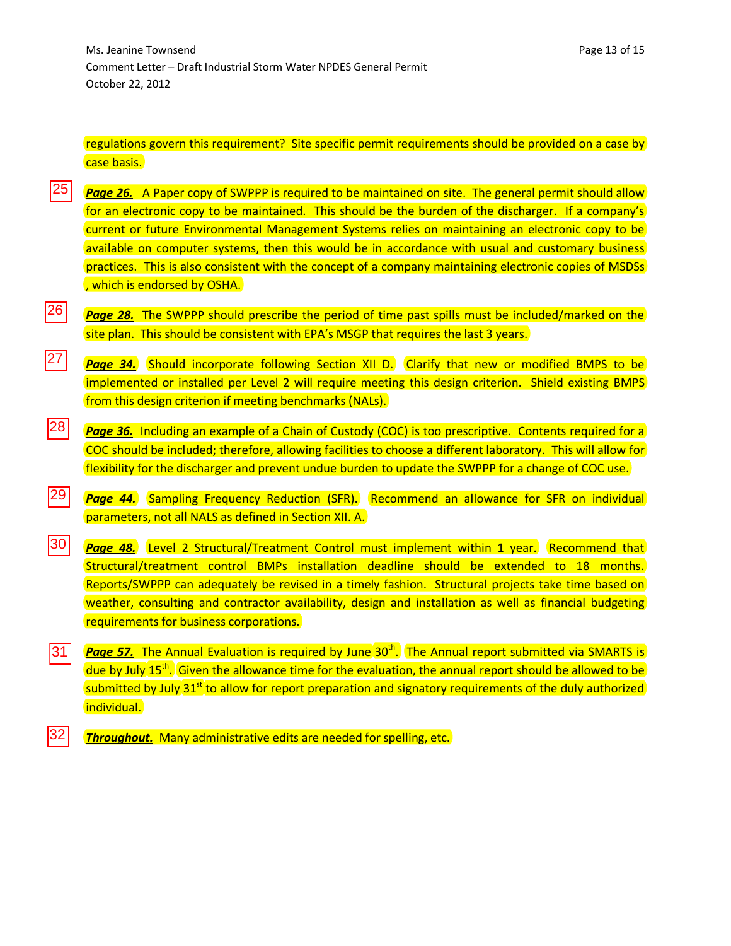regulations govern this requirement? Site specific permit requirements should be provided on a case by case basis.

- **Page 26.** A Paper copy of SWPPP is required to be maintained on site. The general permit should allow for an electronic copy to be maintained. This should be the burden of the discharger. If a company's current or future Environmental Management Systems relies on maintaining an electronic copy to be available on computer systems, then this would be in accordance with usual and customary business practices. This is also consistent with the concept of a company maintaining electronic copies of MSDSs , which is endorsed by OSHA. 25
- $|26|$ *Page 28.* The SWPPP should prescribe the period of time past spills must be included/marked on the site plan. This should be consistent with EPA's MSGP that requires the last 3 years.
- $|27|$ **Page 34.** Should incorporate following Section XII D. Clarify that new or modified BMPS to be implemented or installed per Level 2 will require meeting this design criterion. Shield existing BMPS from this design criterion if meeting benchmarks (NALs).
- |28| **Page 36.** Including an example of a Chain of Custody (COC) is too prescriptive. Contents required for a COC should be included; therefore, allowing facilities to choose a different laboratory. This will allow for flexibility for the discharger and prevent undue burden to update the SWPPP for a change of COC use.
- |29| **Page 44.** Sampling Frequency Reduction (SFR). Recommend an allowance for SFR on individual parameters, not all NALS as defined in Section XII. A.
- 26<br>27<br>28<br>29<br>30 30| **Page 48.** Level 2 Structural/Treatment Control must implement within 1 year. Recommend that Structural/treatment control BMPs installation deadline should be extended to 18 months. Reports/SWPPP can adequately be revised in a timely fashion. Structural projects take time based on weather, consulting and contractor availability, design and installation as well as financial budgeting requirements for business corporations.
- **Page 57.** The Annual Evaluation is required by June 30<sup>th</sup>. The Annual report submitted via SMARTS is |31| due by July 15<sup>th</sup>. Given the allowance time for the evaluation, the annual report should be allowed to be submitted by July  $31<sup>st</sup>$  to allow for report preparation and signatory requirements of the duly authorized individual.
- *Throughout.* Many administrative edits are needed for spelling, etc. 32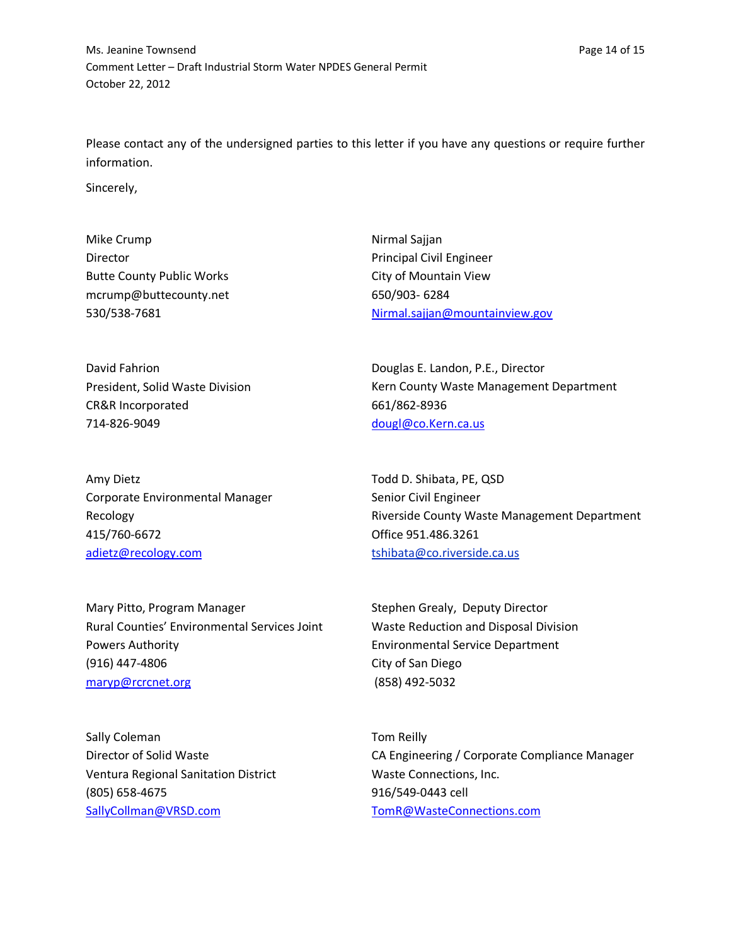Please contact any of the undersigned parties to this letter if you have any questions or require further information.

Sincerely,

Mike Crump Director Butte County Public Works [mcrump@buttecounty.net](mailto:mcrump@buttecounty.net) 530/538-7681

David Fahrion President, Solid Waste Division CR&R Incorporated 714-826-9049

Amy Dietz Corporate Environmental Manager Recology 415/760-6672 [adietz@recology.com](mailto:adietz@recology.com)

Mary Pitto, Program Manager Rural Counties' Environmental Services Joint Powers Authority (916) 447-4806 [maryp@rcrcnet.org](mailto:maryp@rcrcnet.org)

Sally Coleman Director of Solid Waste Ventura Regional Sanitation District (805) 658-4675 [SallyCollman@VRSD.com](mailto:SallyCollman@VRSD.com)

Nirmal Sajjan Principal Civil Engineer City of Mountain View 650/903- 6284 [Nirmal.sajjan@mountainview.gov](mailto:Nirmal.sajjan@mountainview.gov)

Douglas E. Landon, P.E., Director Kern County Waste Management Department 661/862-8936 [dougl@co.Kern.ca.us](mailto:dougl@co.Kern.ca.us)

Todd D. Shibata, PE, QSD Senior Civil Engineer Riverside County Waste Management Department Office 951.486.3261 [tshibata@co.riverside.ca.us](mailto:tshibata@co.riverside.ca.us)

Stephen Grealy, Deputy Director Waste Reduction and Disposal Division Environmental Service Department City of San Diego (858) 492-5032

Tom Reilly CA Engineering / Corporate Compliance Manager Waste Connections, Inc. 916/549-0443 cell [TomR@WasteConnections.com](mailto:TomR@WasteConnections.com)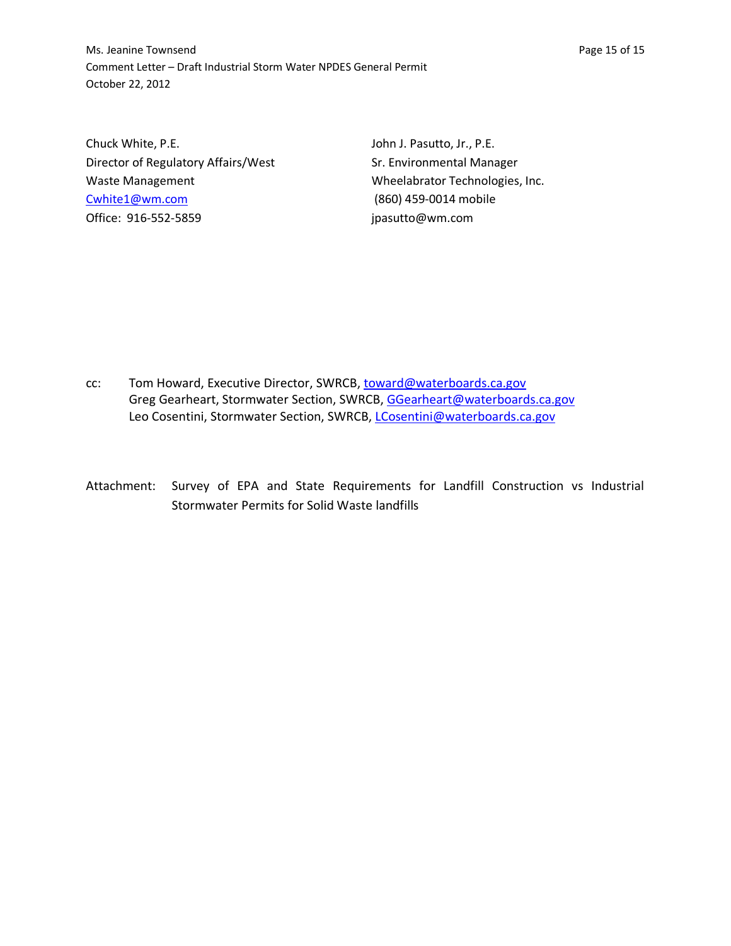Ms. Jeanine Townsend **Page 15 of 15** Comment Letter – Draft Industrial Storm Water NPDES General Permit October 22, 2012

Chuck White, P.E. Director of Regulatory Affairs/West Waste Management [Cwhite1@wm.com](mailto:Cwhite1@wm.com) Office: 916-552-5859

John J. Pasutto, Jr., P.E. Sr. Environmental Manager Wheelabrator Technologies, Inc. (860) 459-0014 mobile [jpasutto@wm.com](mailto:jpasutto@wm.com)

- cc: Tom Howard, Executive Director, SWRCB[, toward@waterboards.ca.gov](mailto:toward@waterboards.ca.gov) Greg Gearheart, Stormwater Section, SWRCB, [GGearheart@waterboards.ca.gov](mailto:GGearheart@waterboards.ca.gov) Leo Cosentini, Stormwater Section, SWRCB, [LCosentini@waterboards.ca.gov](mailto:LCosentini@waterboards.ca.gov)
- Attachment: Survey of EPA and State Requirements for Landfill Construction vs Industrial Stormwater Permits for Solid Waste landfills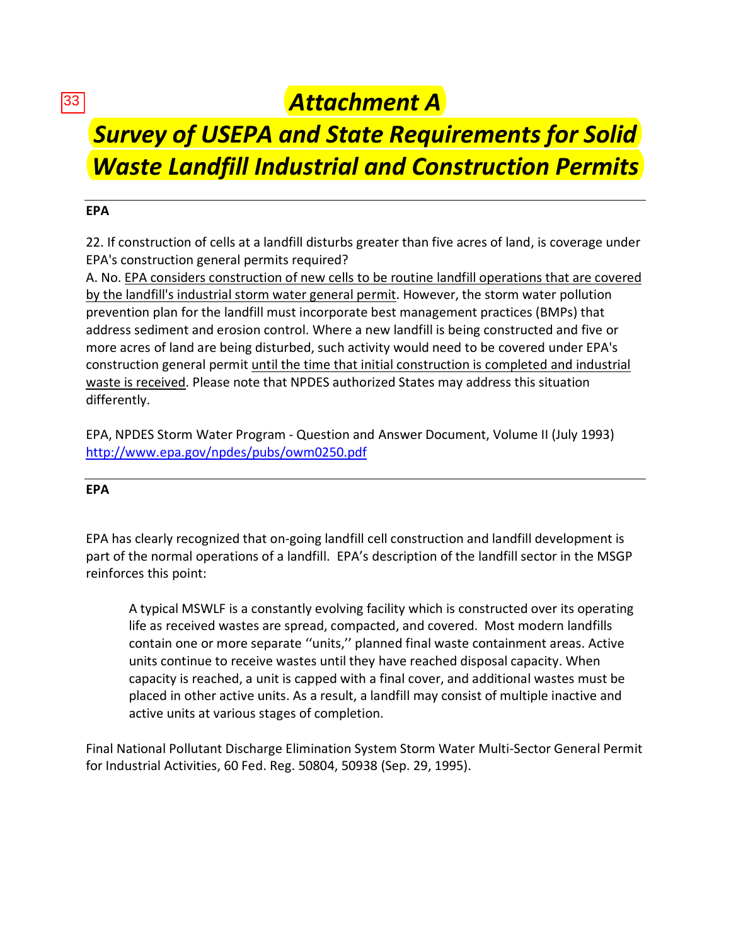33

# *Attachment A*

# *Survey of USEPA and State Requirements for Solid Waste Landfill Industrial and Construction Permits*

# **EPA**

22. If construction of cells at a landfill disturbs greater than five acres of land, is coverage under EPA's construction general permits required?

A. No. EPA considers construction of new cells to be routine landfill operations that are covered by the landfill's industrial storm water general permit. However, the storm water pollution prevention plan for the landfill must incorporate best management practices (BMPs) that address sediment and erosion control. Where a new landfill is being constructed and five or more acres of land are being disturbed, such activity would need to be covered under EPA's construction general permit until the time that initial construction is completed and industrial waste is received. Please note that NPDES authorized States may address this situation differently.

EPA, NPDES Storm Water Program - Question and Answer Document, Volume II (July 1993) <http://www.epa.gov/npdes/pubs/owm0250.pdf>

# **EPA**

EPA has clearly recognized that on-going landfill cell construction and landfill development is part of the normal operations of a landfill. EPA's description of the landfill sector in the MSGP reinforces this point:

A typical MSWLF is a constantly evolving facility which is constructed over its operating life as received wastes are spread, compacted, and covered. Most modern landfills contain one or more separate ''units,'' planned final waste containment areas. Active units continue to receive wastes until they have reached disposal capacity. When capacity is reached, a unit is capped with a final cover, and additional wastes must be placed in other active units. As a result, a landfill may consist of multiple inactive and active units at various stages of completion.

Final National Pollutant Discharge Elimination System Storm Water Multi-Sector General Permit for Industrial Activities, 60 Fed. Reg. 50804, 50938 (Sep. 29, 1995).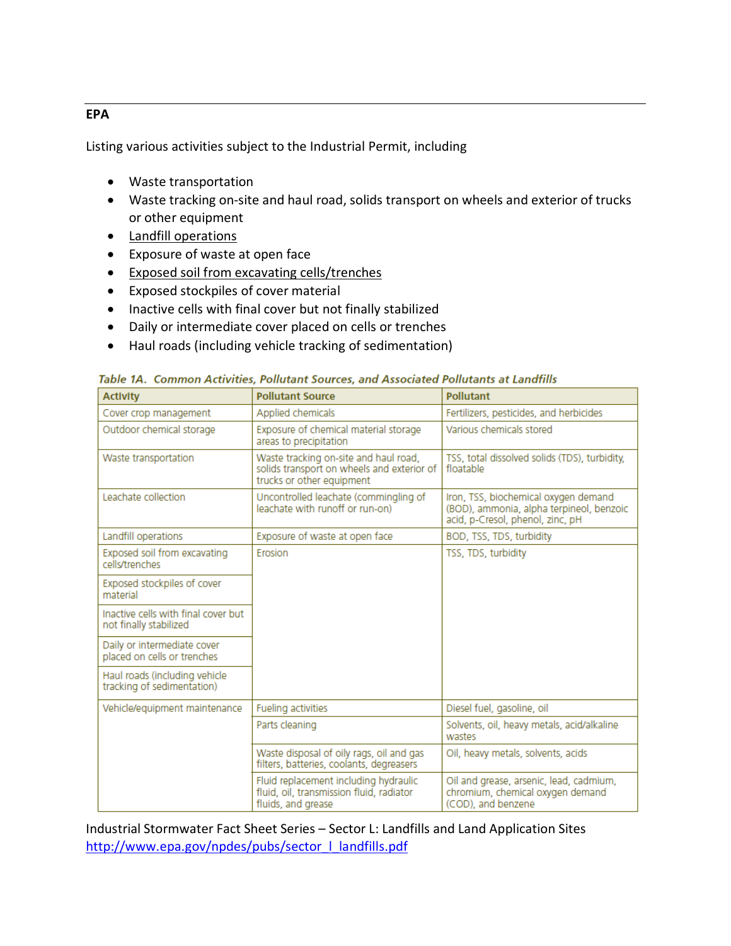### **EPA**

Listing various activities subject to the Industrial Permit, including

- Waste transportation
- Waste tracking on-site and haul road, solids transport on wheels and exterior of trucks or other equipment
- Landfill operations
- Exposure of waste at open face
- Exposed soil from excavating cells/trenches
- Exposed stockpiles of cover material
- Inactive cells with final cover but not finally stabilized
- Daily or intermediate cover placed on cells or trenches
- Haul roads (including vehicle tracking of sedimentation)

| <b>Activity</b>                                               | <b>Pollutant Source</b>                                                                                          | <b>Pollutant</b>                                                                                                     |
|---------------------------------------------------------------|------------------------------------------------------------------------------------------------------------------|----------------------------------------------------------------------------------------------------------------------|
| Cover crop management                                         | Applied chemicals                                                                                                | Fertilizers, pesticides, and herbicides                                                                              |
| Outdoor chemical storage                                      | Exposure of chemical material storage<br>areas to precipitation                                                  | Various chemicals stored                                                                                             |
| Waste transportation                                          | Waste tracking on-site and haul road,<br>solids transport on wheels and exterior of<br>trucks or other equipment | TSS, total dissolved solids (TDS), turbidity,<br>floatable                                                           |
| Leachate collection                                           | Uncontrolled leachate (commingling of<br>leachate with runoff or run-on)                                         | Iron, TSS, biochemical oxygen demand<br>(BOD), ammonia, alpha terpineol, benzoic<br>acid, p-Cresol, phenol, zinc, pH |
| Landfill operations                                           | Exposure of waste at open face                                                                                   | BOD, TSS, TDS, turbidity                                                                                             |
| Exposed soil from excavating<br>cells/trenches                | Frosion                                                                                                          | TSS, TDS, turbidity                                                                                                  |
| Exposed stockpiles of cover<br>material                       |                                                                                                                  |                                                                                                                      |
| Inactive cells with final cover but<br>not finally stabilized |                                                                                                                  |                                                                                                                      |
| Daily or intermediate cover<br>placed on cells or trenches    |                                                                                                                  |                                                                                                                      |
| Haul roads (including vehicle<br>tracking of sedimentation)   |                                                                                                                  |                                                                                                                      |
| Vehicle/equipment maintenance                                 | Fueling activities                                                                                               | Diesel fuel, gasoline, oil                                                                                           |
|                                                               | Parts cleaning                                                                                                   | Solvents, oil, heavy metals, acid/alkaline<br>wastes                                                                 |
|                                                               | Waste disposal of oily rags, oil and gas<br>filters, batteries, coolants, degreasers                             | Oil, heavy metals, solvents, acids                                                                                   |
|                                                               | Fluid replacement including hydraulic<br>fluid, oil, transmission fluid, radiator<br>fluids, and grease          | Oil and grease, arsenic, lead, cadmium,<br>chromium, chemical oxygen demand<br>(COD), and benzene                    |

Table 14. Common Activities, Pollutant Sources, and Associated Pollutants at Landfills

Industrial Stormwater Fact Sheet Series – Sector L: Landfills and Land Application Sites [http://www.epa.gov/npdes/pubs/sector\\_l\\_landfills.pdf](http://www.epa.gov/npdes/pubs/sector_l_landfills.pdf)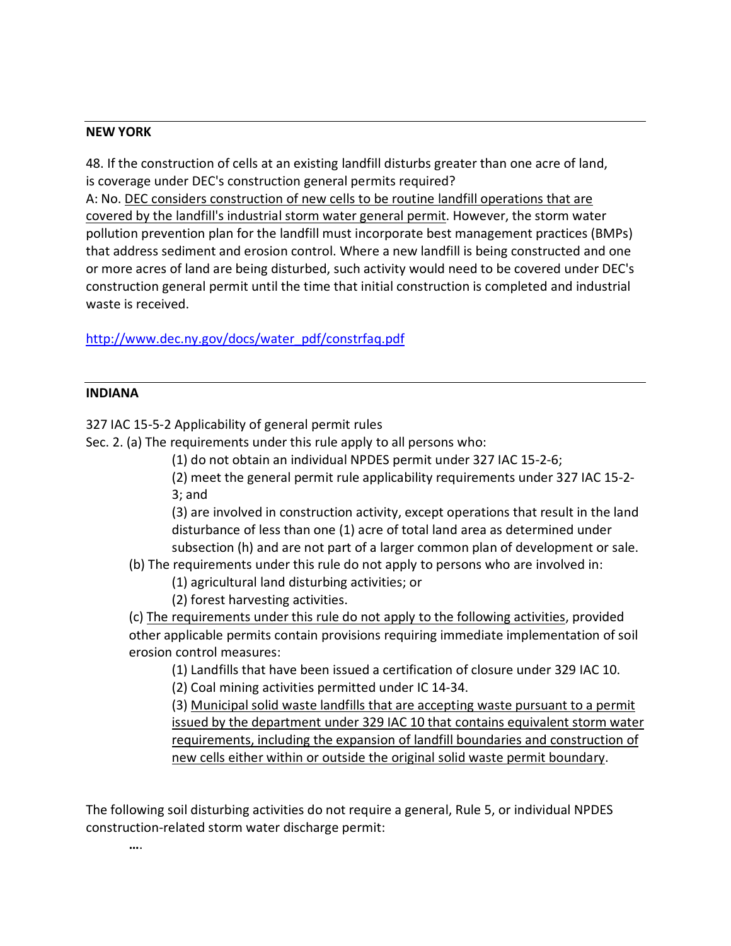### **NEW YORK**

48. If the construction of cells at an existing landfill disturbs greater than one acre of land, is coverage under DEC's construction general permits required?

A: No. DEC considers construction of new cells to be routine landfill operations that are covered by the landfill's industrial storm water general permit. However, the storm water pollution prevention plan for the landfill must incorporate best management practices (BMPs) that address sediment and erosion control. Where a new landfill is being constructed and one or more acres of land are being disturbed, such activity would need to be covered under DEC's construction general permit until the time that initial construction is completed and industrial waste is received.

[http://www.dec.ny.gov/docs/water\\_pdf/constrfaq.pdf](http://www.dec.ny.gov/docs/water_pdf/constrfaq.pdf)

### **INDIANA**

327 IAC 15-5-2 Applicability of general permit rules

Sec. 2. (a) The requirements under this rule apply to all persons who:

(1) do not obtain an individual NPDES permit under 327 IAC 15-2-6;

(2) meet the general permit rule applicability requirements under 327 IAC 15-2- 3; and

(3) are involved in construction activity, except operations that result in the land disturbance of less than one (1) acre of total land area as determined under subsection (h) and are not part of a larger common plan of development or sale.

(b) The requirements under this rule do not apply to persons who are involved in:

(1) agricultural land disturbing activities; or

(2) forest harvesting activities.

(c) The requirements under this rule do not apply to the following activities, provided other applicable permits contain provisions requiring immediate implementation of soil erosion control measures:

(1) Landfills that have been issued a certification of closure under 329 IAC 10.

(2) Coal mining activities permitted under IC 14-34.

(3) Municipal solid waste landfills that are accepting waste pursuant to a permit issued by the department under 329 IAC 10 that contains equivalent storm water requirements, including the expansion of landfill boundaries and construction of new cells either within or outside the original solid waste permit boundary.

The following soil disturbing activities do not require a general, Rule 5, or individual NPDES construction-related storm water discharge permit:

**…**.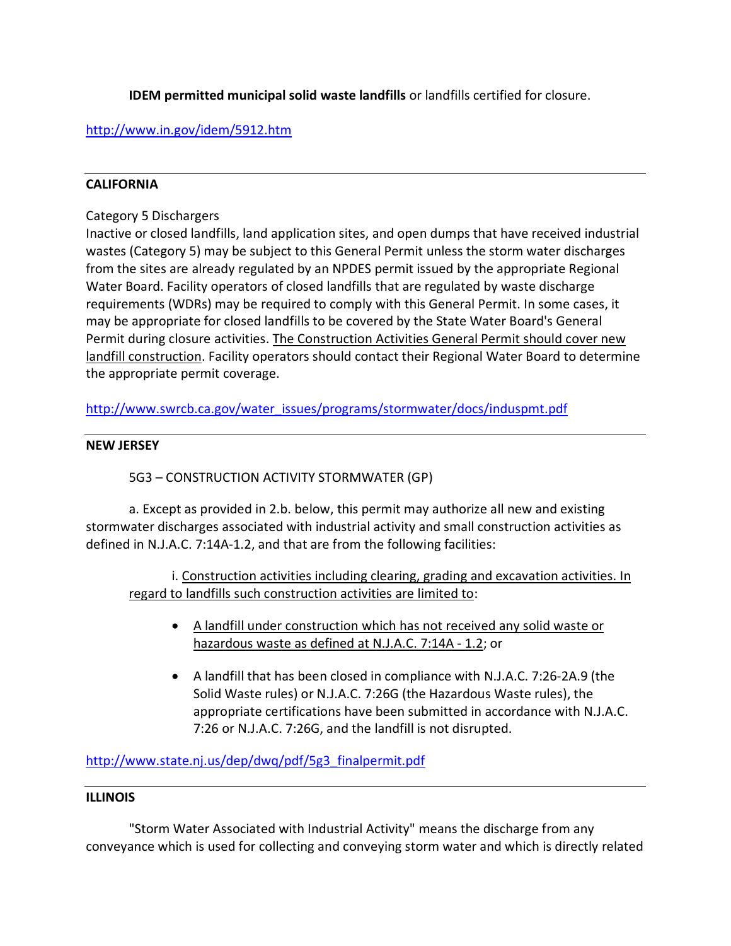**IDEM permitted municipal solid waste landfills** or landfills certified for closure.

# <http://www.in.gov/idem/5912.htm>

# **CALIFORNIA**

# Category 5 Dischargers

Inactive or closed landfills, land application sites, and open dumps that have received industrial wastes (Category 5) may be subject to this General Permit unless the storm water discharges from the sites are already regulated by an NPDES permit issued by the appropriate Regional Water Board. Facility operators of closed landfills that are regulated by waste discharge requirements (WDRs) may be required to comply with this General Permit. In some cases, it may be appropriate for closed landfills to be covered by the State Water Board's General Permit during closure activities. The Construction Activities General Permit should cover new landfill construction. Facility operators should contact their Regional Water Board to determine the appropriate permit coverage.

[http://www.swrcb.ca.gov/water\\_issues/programs/stormwater/docs/induspmt.pdf](http://www.swrcb.ca.gov/water_issues/programs/stormwater/docs/induspmt.pdf)

## **NEW JERSEY**

# 5G3 – CONSTRUCTION ACTIVITY STORMWATER (GP)

a. Except as provided in 2.b. below, this permit may authorize all new and existing stormwater discharges associated with industrial activity and small construction activities as defined in N.J.A.C. 7:14A-1.2, and that are from the following facilities:

i. Construction activities including clearing, grading and excavation activities. In regard to landfills such construction activities are limited to:

- A landfill under construction which has not received any solid waste or hazardous waste as defined at N.J.A.C. 7:14A - 1.2; or
- A landfill that has been closed in compliance with N.J.A.C. 7:26-2A.9 (the Solid Waste rules) or N.J.A.C. 7:26G (the Hazardous Waste rules), the appropriate certifications have been submitted in accordance with N.J.A.C. 7:26 or N.J.A.C. 7:26G, and the landfill is not disrupted.

[http://www.state.nj.us/dep/dwq/pdf/5g3\\_finalpermit.pdf](http://www.state.nj.us/dep/dwq/pdf/5g3_finalpermit.pdf)

## **ILLINOIS**

"Storm Water Associated with Industrial Activity" means the discharge from any conveyance which is used for collecting and conveying storm water and which is directly related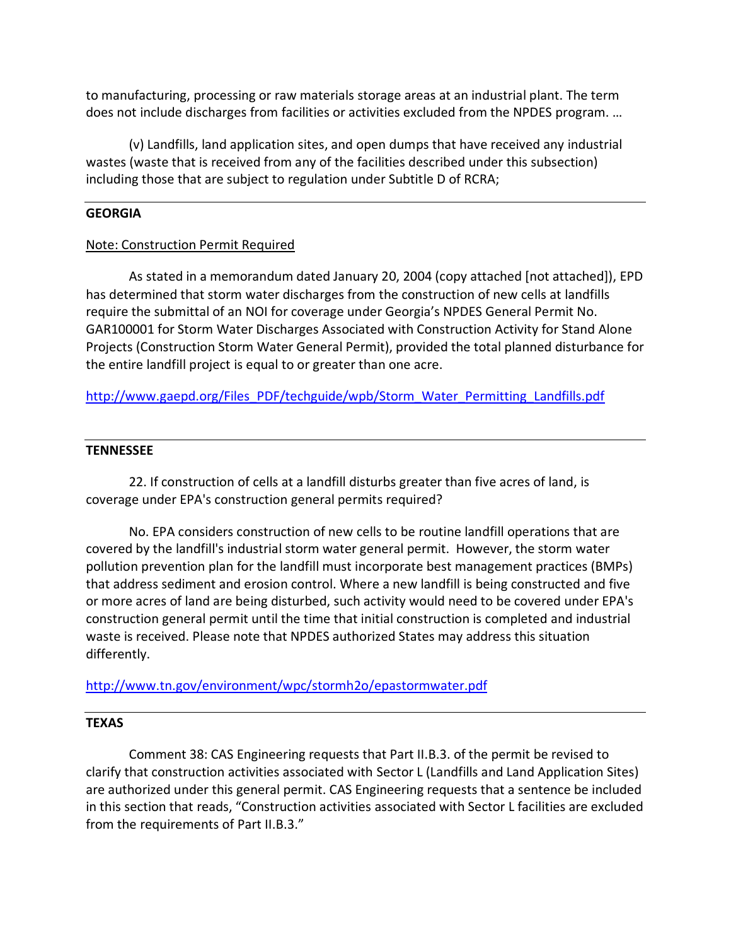to manufacturing, processing or raw materials storage areas at an industrial plant. The term does not include discharges from facilities or activities excluded from the NPDES program. …

(v) Landfills, land application sites, and open dumps that have received any industrial wastes (waste that is received from any of the facilities described under this subsection) including those that are subject to regulation under Subtitle D of RCRA;

### **GEORGIA**

### Note: Construction Permit Required

As stated in a memorandum dated January 20, 2004 (copy attached [not attached]), EPD has determined that storm water discharges from the construction of new cells at landfills require the submittal of an NOI for coverage under Georgia's NPDES General Permit No. GAR100001 for Storm Water Discharges Associated with Construction Activity for Stand Alone Projects (Construction Storm Water General Permit), provided the total planned disturbance for the entire landfill project is equal to or greater than one acre.

[http://www.gaepd.org/Files\\_PDF/techguide/wpb/Storm\\_Water\\_Permitting\\_Landfills.pdf](http://www.gaepd.org/Files_PDF/techguide/wpb/Storm_Water_Permitting_Landfills.pdf)

### **TENNESSEE**

22. If construction of cells at a landfill disturbs greater than five acres of land, is coverage under EPA's construction general permits required?

No. EPA considers construction of new cells to be routine landfill operations that are covered by the landfill's industrial storm water general permit. However, the storm water pollution prevention plan for the landfill must incorporate best management practices (BMPs) that address sediment and erosion control. Where a new landfill is being constructed and five or more acres of land are being disturbed, such activity would need to be covered under EPA's construction general permit until the time that initial construction is completed and industrial waste is received. Please note that NPDES authorized States may address this situation differently.

<http://www.tn.gov/environment/wpc/stormh2o/epastormwater.pdf>

### **TEXAS**

Comment 38: CAS Engineering requests that Part II.B.3. of the permit be revised to clarify that construction activities associated with Sector L (Landfills and Land Application Sites) are authorized under this general permit. CAS Engineering requests that a sentence be included in this section that reads, "Construction activities associated with Sector L facilities are excluded from the requirements of Part II.B.3."